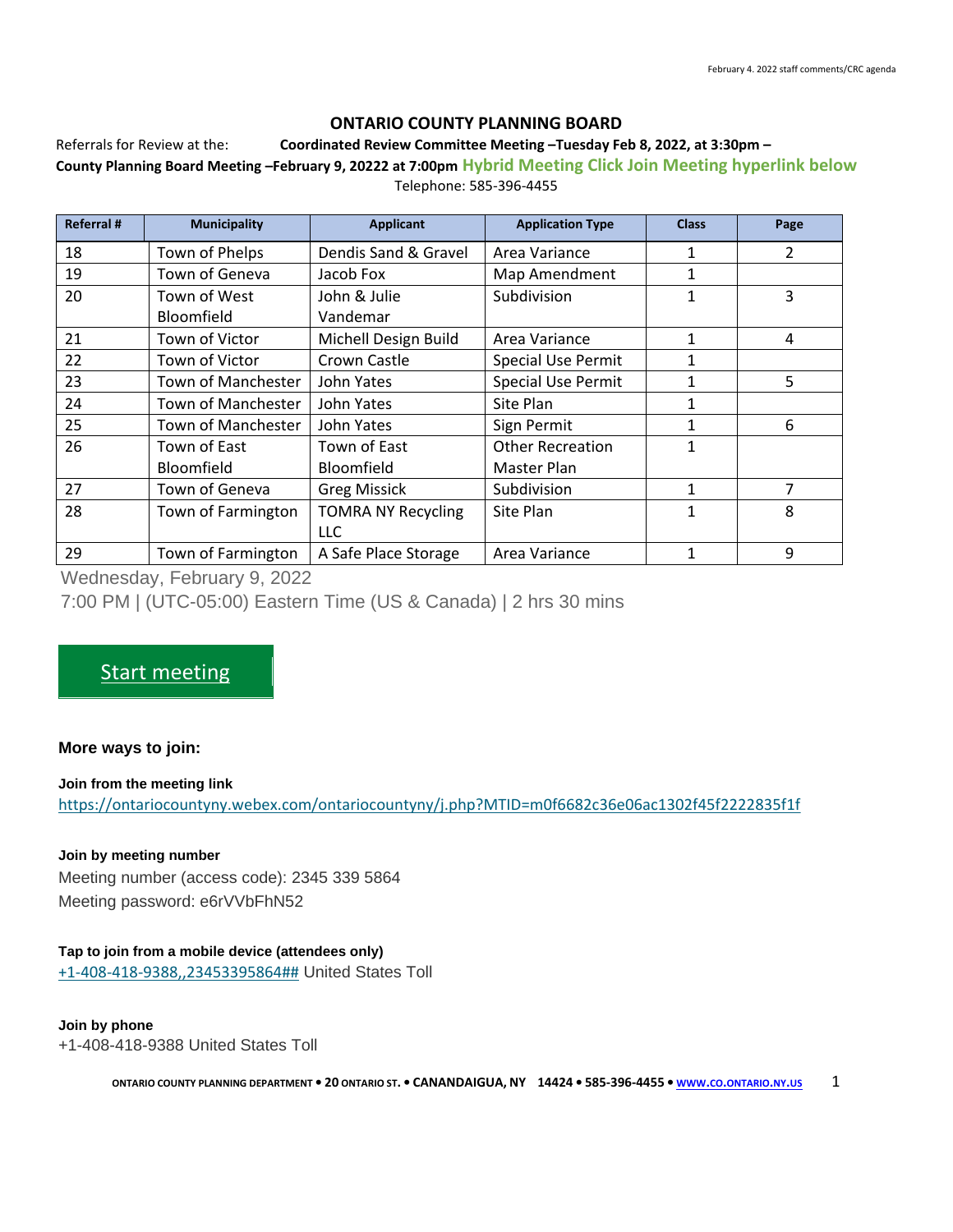# **ONTARIO COUNTY PLANNING BOARD**

#### Referrals for Review at the: **Coordinated Review Committee Meeting –Tuesday Feb 8, 2022, at 3:30pm –**

**County Planning Board Meeting –February 9, 20222 at 7:00pm Hybrid Meeting Click Join Meeting hyperlink below** Telephone: 585-396-4455

| <b>Referral#</b> | <b>Municipality</b> | <b>Applicant</b>          | <b>Application Type</b>   | <b>Class</b> | Page |
|------------------|---------------------|---------------------------|---------------------------|--------------|------|
| 18               | Town of Phelps      | Dendis Sand & Gravel      | Area Variance             | 1            | 2    |
| 19               | Town of Geneva      | Jacob Fox                 | Map Amendment             | 1            |      |
| 20               | Town of West        | John & Julie              | Subdivision               | 1            | 3    |
|                  | Bloomfield          | Vandemar                  |                           |              |      |
| 21               | Town of Victor      | Michell Design Build      | Area Variance             | 1            | 4    |
| 22               | Town of Victor      | Crown Castle              | <b>Special Use Permit</b> | 1            |      |
| 23               | Town of Manchester  | John Yates                | <b>Special Use Permit</b> | 1            | 5    |
| 24               | Town of Manchester  | John Yates                | Site Plan                 | 1            |      |
| 25               | Town of Manchester  | John Yates                | Sign Permit               | 1            | 6    |
| 26               | Town of East        | Town of East              | <b>Other Recreation</b>   | $\mathbf{1}$ |      |
|                  | Bloomfield          | Bloomfield                | Master Plan               |              |      |
| 27               | Town of Geneva      | <b>Greg Missick</b>       | Subdivision               | $\mathbf{1}$ | 7    |
| 28               | Town of Farmington  | <b>TOMRA NY Recycling</b> | Site Plan                 | 1            | 8    |
|                  |                     | <b>LLC</b>                |                           |              |      |
| 29               | Town of Farmington  | A Safe Place Storage      | Area Variance             | 1            | 9    |

Wednesday, February 9, 2022

7:00 PM | (UTC-05:00) Eastern Time (US & Canada) | 2 hrs 30 mins

# [Start meeting](https://ontariocountyny.webex.com/ontariocountyny/j.php?MTID=m0f6682c36e06ac1302f45f2222835f1f)

# **More ways to join:**

### **Join from the meeting link**

<https://ontariocountyny.webex.com/ontariocountyny/j.php?MTID=m0f6682c36e06ac1302f45f2222835f1f>

### **Join by meeting number**

Meeting number (access code): 2345 339 5864 Meeting password: e6rVVbFhN52

# **Tap to join from a mobile device (attendees only)**

[+1-408-418-9388,,23453395864##](tel:%2B1-408-418-9388,,*01*23453395864%23%23*01*) United States Toll

### **Join by phone**

+1-408-418-9388 United States Toll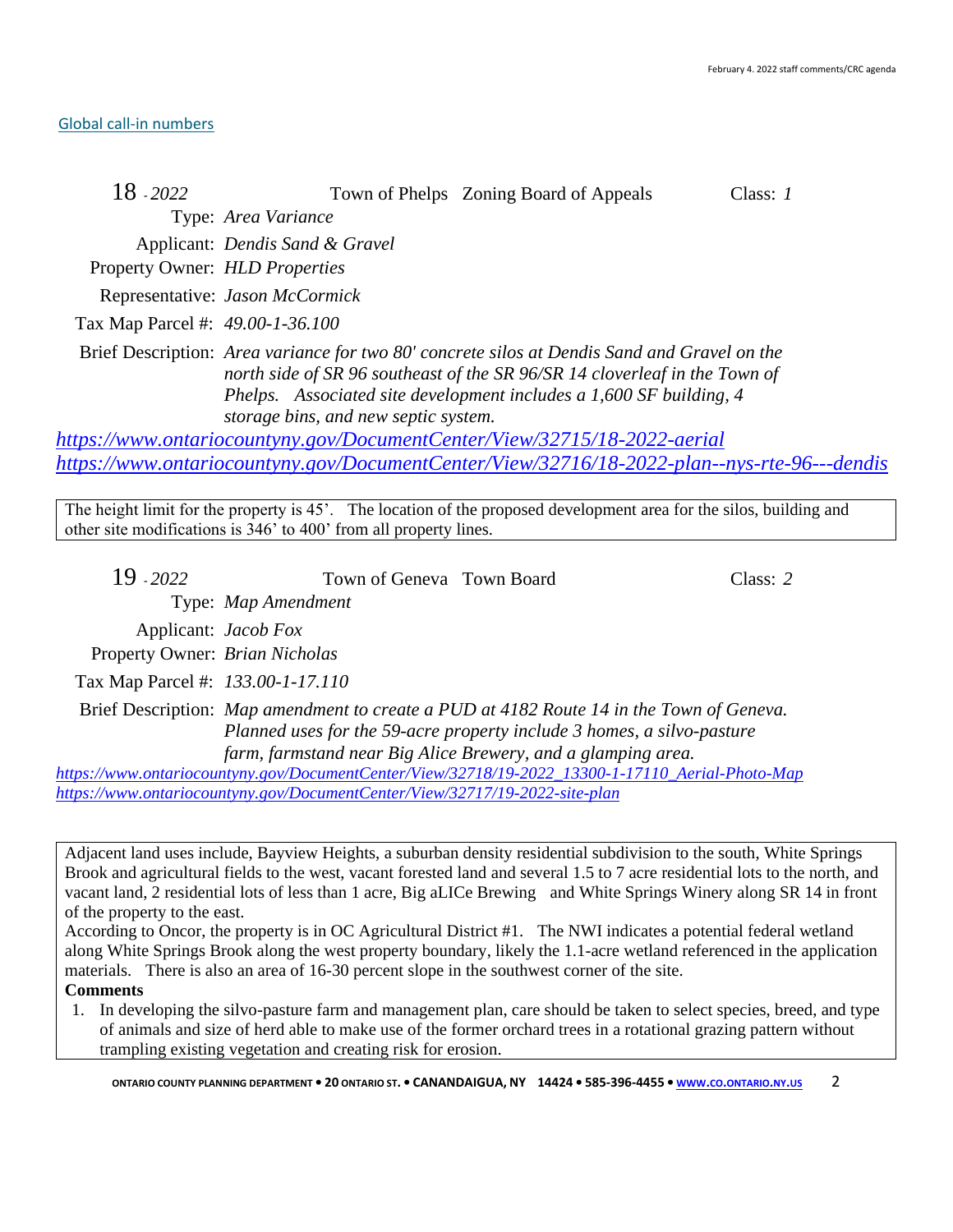### [Global call-in numbers](https://ontariocountyny.webex.com/ontariocountyny/globalcallin.php?MTID=m011593721cf19820b5232528f97ba55c)

| 18 - 2022                        | Town of Phelps Zoning Board of Appeals<br>Class: $1$                                                                                                                                                                                                                                      |
|----------------------------------|-------------------------------------------------------------------------------------------------------------------------------------------------------------------------------------------------------------------------------------------------------------------------------------------|
|                                  | Type: Area Variance                                                                                                                                                                                                                                                                       |
|                                  | Applicant: Dendis Sand & Gravel                                                                                                                                                                                                                                                           |
| Property Owner: HLD Properties   |                                                                                                                                                                                                                                                                                           |
|                                  | Representative: Jason McCormick                                                                                                                                                                                                                                                           |
| Tax Map Parcel #: 49.00-1-36.100 |                                                                                                                                                                                                                                                                                           |
|                                  | Brief Description: Area variance for two 80' concrete silos at Dendis Sand and Gravel on the<br>north side of SR 96 southeast of the SR 96/SR 14 cloverleaf in the Town of<br>Phelps. Associated site development includes a 1,600 SF building, 4<br>storage bins, and new septic system. |

*<https://www.ontariocountyny.gov/DocumentCenter/View/32715/18-2022-aerial> <https://www.ontariocountyny.gov/DocumentCenter/View/32716/18-2022-plan--nys-rte-96---dendis>*

The height limit for the property is 45'. The location of the proposed development area for the silos, building and other site modifications is 346' to 400' from all property lines.

| $19 - 2022$                       | Town of Geneva Town Board |                                                                                                                                                                                                                                    | Class: 2 |
|-----------------------------------|---------------------------|------------------------------------------------------------------------------------------------------------------------------------------------------------------------------------------------------------------------------------|----------|
|                                   | Type: Map Amendment       |                                                                                                                                                                                                                                    |          |
| Applicant: <i>Jacob Fox</i>       |                           |                                                                                                                                                                                                                                    |          |
| Property Owner: Brian Nicholas    |                           |                                                                                                                                                                                                                                    |          |
| Tax Map Parcel #: 133.00-1-17.110 |                           |                                                                                                                                                                                                                                    |          |
|                                   |                           | Brief Description: Map amendment to create a PUD at 4182 Route 14 in the Town of Geneva.<br>Planned uses for the 59-acre property include 3 homes, a silvo-pasture<br>farm, farmstand near Big Alice Brewery, and a glamping area. |          |
|                                   |                           | https://www.ontariocountyny.gov/DocumentCenter/View/32718/19-2022_13300-1-17110_Aerial-Photo-Map                                                                                                                                   |          |

*<https://www.ontariocountyny.gov/DocumentCenter/View/32717/19-2022-site-plan>*

Adjacent land uses include, Bayview Heights, a suburban density residential subdivision to the south, White Springs Brook and agricultural fields to the west, vacant forested land and several 1.5 to 7 acre residential lots to the north, and vacant land, 2 residential lots of less than 1 acre, Big aLICe Brewing and White Springs Winery along SR 14 in front of the property to the east.

According to Oncor, the property is in OC Agricultural District #1. The NWI indicates a potential federal wetland along White Springs Brook along the west property boundary, likely the 1.1-acre wetland referenced in the application materials. There is also an area of 16-30 percent slope in the southwest corner of the site.

**Comments** 

1. In developing the silvo-pasture farm and management plan, care should be taken to select species, breed, and type of animals and size of herd able to make use of the former orchard trees in a rotational grazing pattern without trampling existing vegetation and creating risk for erosion.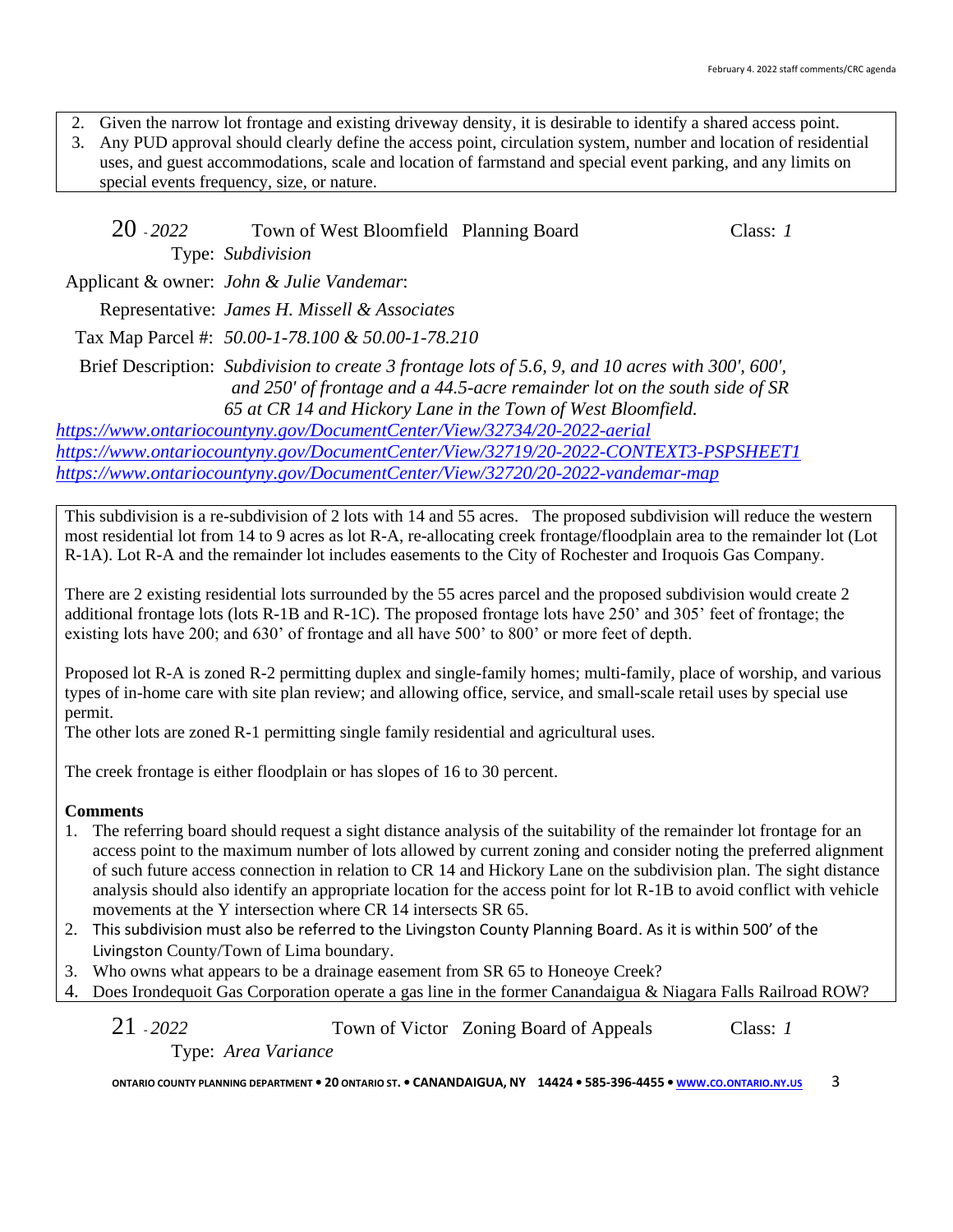2. Given the narrow lot frontage and existing driveway density, it is desirable to identify a shared access point.

3. Any PUD approval should clearly define the access point, circulation system, number and location of residential uses, and guest accommodations, scale and location of farmstand and special event parking, and any limits on special events frequency, size, or nature.

| 20 - 2022 | Town of West Bloomfield Planning Board                                                                                                                                                                                                          | Class: $1$ |
|-----------|-------------------------------------------------------------------------------------------------------------------------------------------------------------------------------------------------------------------------------------------------|------------|
|           | Type: Subdivision                                                                                                                                                                                                                               |            |
|           | Applicant & owner: <i>John &amp; Julie Vandemar</i> :                                                                                                                                                                                           |            |
|           | Representative: James H. Missell & Associates                                                                                                                                                                                                   |            |
|           | Tax Map Parcel #: 50.00-1-78.100 & 50.00-1-78.210                                                                                                                                                                                               |            |
|           | Brief Description: Subdivision to create 3 frontage lots of 5.6, 9, and 10 acres with 300', 600',<br>and 250' of frontage and a 44.5-acre remainder lot on the south side of SR<br>65 at CR 14 and Hickory Lane in the Town of West Bloomfield. |            |

*<https://www.ontariocountyny.gov/DocumentCenter/View/32734/20-2022-aerial> <https://www.ontariocountyny.gov/DocumentCenter/View/32719/20-2022-CONTEXT3-PSPSHEET1> <https://www.ontariocountyny.gov/DocumentCenter/View/32720/20-2022-vandemar-map>*

This subdivision is a re-subdivision of 2 lots with 14 and 55 acres. The proposed subdivision will reduce the western most residential lot from 14 to 9 acres as lot R-A, re-allocating creek frontage/floodplain area to the remainder lot (Lot R-1A). Lot R-A and the remainder lot includes easements to the City of Rochester and Iroquois Gas Company.

There are 2 existing residential lots surrounded by the 55 acres parcel and the proposed subdivision would create 2 additional frontage lots (lots R-1B and R-1C). The proposed frontage lots have 250' and 305' feet of frontage; the existing lots have 200; and 630' of frontage and all have 500' to 800' or more feet of depth.

Proposed lot R-A is zoned R-2 permitting duplex and single-family homes; multi-family, place of worship, and various types of in-home care with site plan review; and allowing office, service, and small-scale retail uses by special use permit.

The other lots are zoned R-1 permitting single family residential and agricultural uses.

The creek frontage is either floodplain or has slopes of 16 to 30 percent.

# **Comments**

- 1. The referring board should request a sight distance analysis of the suitability of the remainder lot frontage for an access point to the maximum number of lots allowed by current zoning and consider noting the preferred alignment of such future access connection in relation to CR 14 and Hickory Lane on the subdivision plan. The sight distance analysis should also identify an appropriate location for the access point for lot R-1B to avoid conflict with vehicle movements at the Y intersection where CR 14 intersects SR 65.
- 2. This subdivision must also be referred to the Livingston County Planning Board. As it is within 500' of the Livingston County/Town of Lima boundary.
- 3. Who owns what appears to be a drainage easement from SR 65 to Honeoye Creek?
- 4. Does Irondequoit Gas Corporation operate a gas line in the former Canandaigua & Niagara Falls Railroad ROW?

21 - *2022* Town of Victor Zoning Board of Appeals Class: *1* Type: *Area Variance*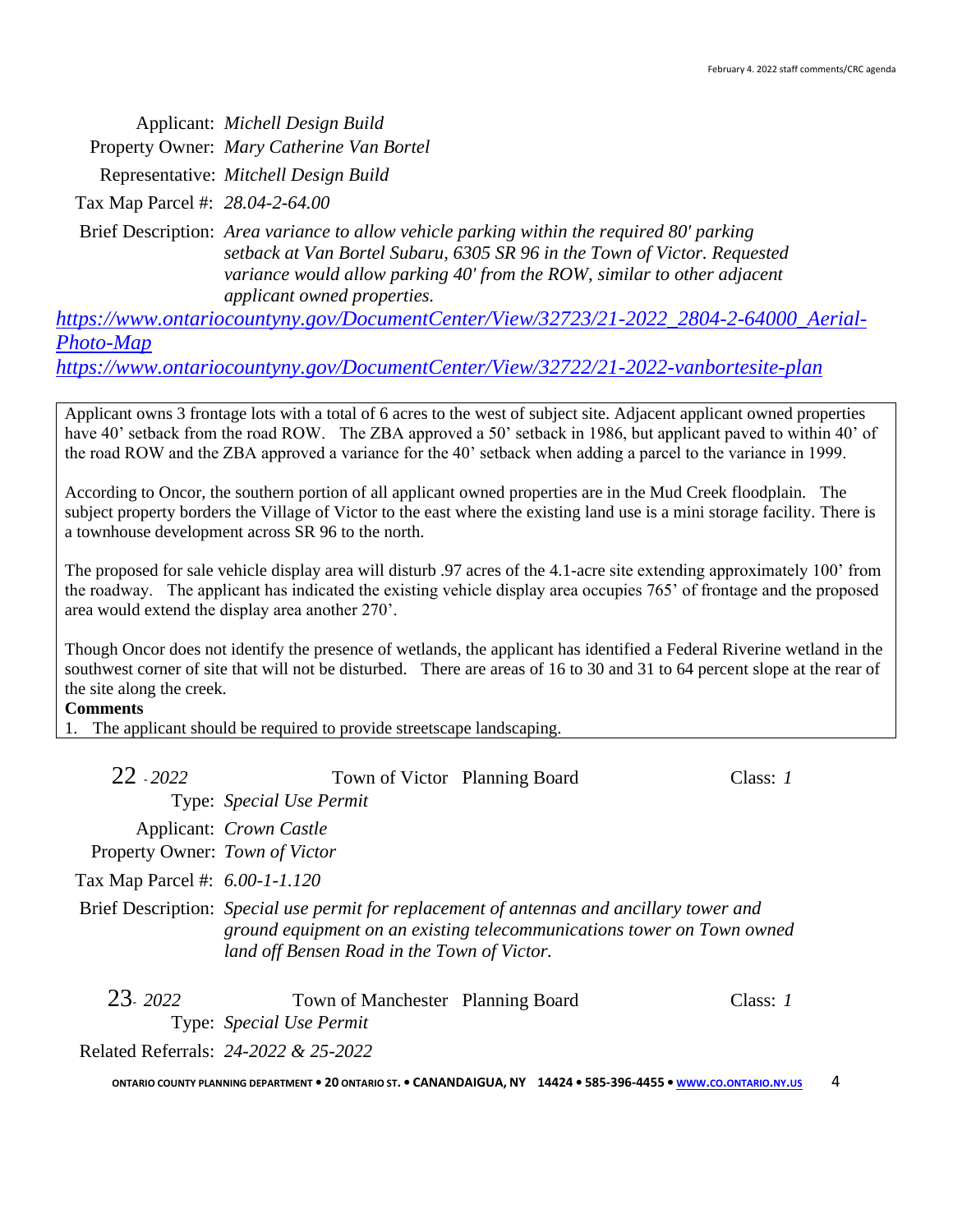Applicant: *Michell Design Build* Property Owner: *Mary Catherine Van Bortel*

Representative: *Mitchell Design Build*

Tax Map Parcel #: *28.04-2-64.00*

Brief Description: *Area variance to allow vehicle parking within the required 80' parking setback at Van Bortel Subaru, 6305 SR 96 in the Town of Victor. Requested variance would allow parking 40' from the ROW, similar to other adjacent applicant owned properties.*

[https://www.ontariocountyny.gov/DocumentCenter/View/32723/21-2022\\_2804-2-64000\\_Aerial-](https://www.ontariocountyny.gov/DocumentCenter/View/32723/21-2022_2804-2-64000_Aerial-Photo-Map)*[Photo-Map](https://www.ontariocountyny.gov/DocumentCenter/View/32723/21-2022_2804-2-64000_Aerial-Photo-Map)*

*<https://www.ontariocountyny.gov/DocumentCenter/View/32722/21-2022-vanbortesite-plan>*

Applicant owns 3 frontage lots with a total of 6 acres to the west of subject site. Adjacent applicant owned properties have 40' setback from the road ROW. The ZBA approved a 50' setback in 1986, but applicant paved to within 40' of the road ROW and the ZBA approved a variance for the 40' setback when adding a parcel to the variance in 1999.

According to Oncor, the southern portion of all applicant owned properties are in the Mud Creek floodplain. The subject property borders the Village of Victor to the east where the existing land use is a mini storage facility. There is a townhouse development across SR 96 to the north.

The proposed for sale vehicle display area will disturb .97 acres of the 4.1-acre site extending approximately 100' from the roadway. The applicant has indicated the existing vehicle display area occupies 765' of frontage and the proposed area would extend the display area another 270'.

Though Oncor does not identify the presence of wetlands, the applicant has identified a Federal Riverine wetland in the southwest corner of site that will not be disturbed. There are areas of 16 to 30 and 31 to 64 percent slope at the rear of the site along the creek.

### **Comments**

1. The applicant should be required to provide streetscape landscaping.

| $22 - 2022$                    | Town of Victor Planning Board                                 |                                                                                                                                                                     | Class: 1 |
|--------------------------------|---------------------------------------------------------------|---------------------------------------------------------------------------------------------------------------------------------------------------------------------|----------|
|                                | Type: Special Use Permit                                      |                                                                                                                                                                     |          |
|                                | Applicant: <i>Crown Castle</i>                                |                                                                                                                                                                     |          |
| Property Owner: Town of Victor |                                                               |                                                                                                                                                                     |          |
| Tax Map Parcel #: 6.00-1-1.120 |                                                               |                                                                                                                                                                     |          |
|                                | land off Bensen Road in the Town of Victor.                   | Brief Description: Special use permit for replacement of antennas and ancillary tower and<br>ground equipment on an existing telecommunications tower on Town owned |          |
| 23. 2022                       | Town of Manchester Planning Board<br>Type: Special Use Permit |                                                                                                                                                                     | Class: I |

Related Referrals: *24-2022 & 25-2022*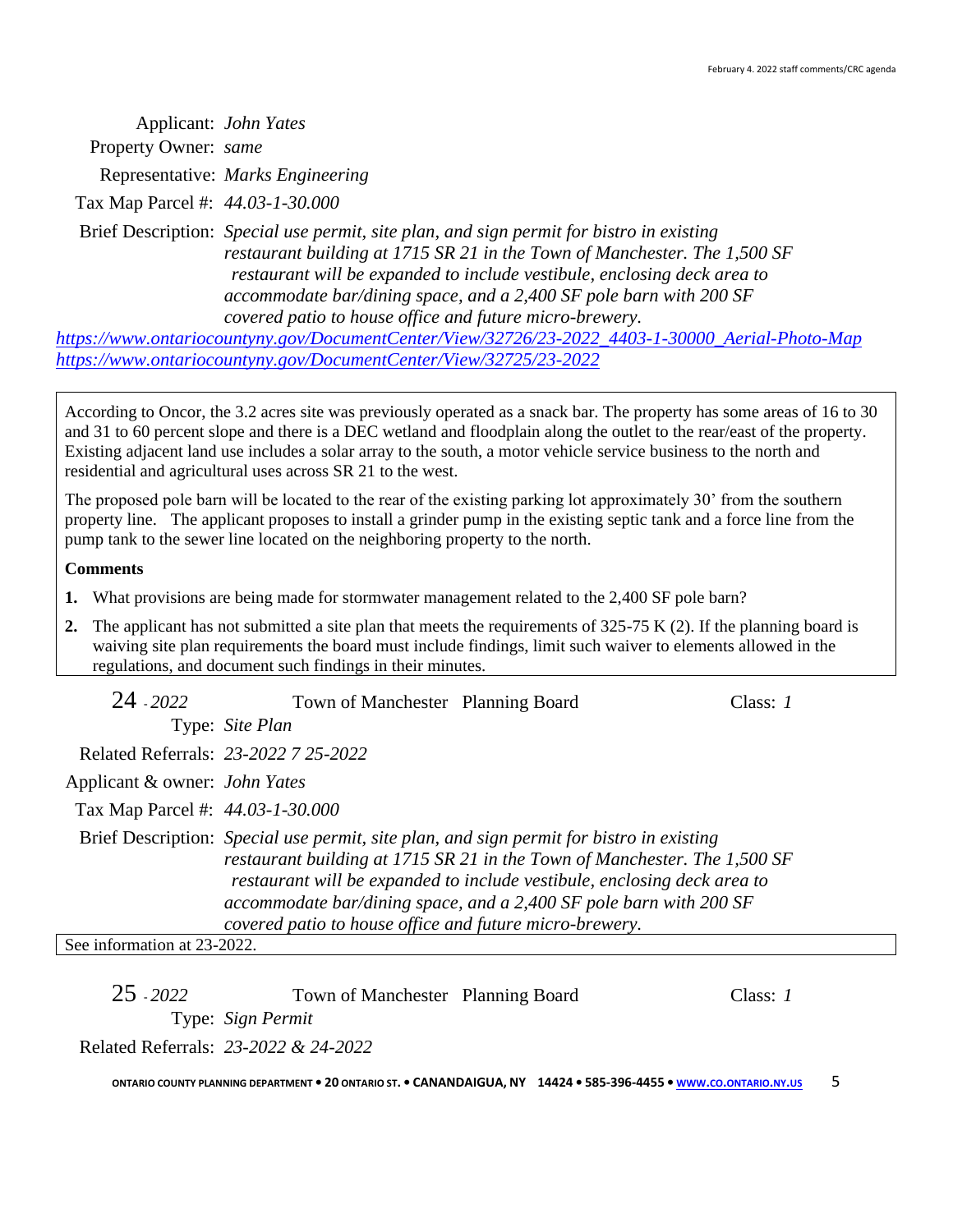Applicant: *John Yates* Property Owner: *same* Representative: *Marks Engineering* Tax Map Parcel #: *44.03-1-30.000* Brief Description: *Special use permit, site plan, and sign permit for bistro in existing restaurant building at 1715 SR 21 in the Town of Manchester. The 1,500 SF restaurant will be expanded to include vestibule, enclosing deck area to accommodate bar/dining space, and a 2,400 SF pole barn with 200 SF covered patio to house office and future micro-brewery.*

*[https://www.ontariocountyny.gov/DocumentCenter/View/32726/23-2022\\_4403-1-30000\\_Aerial-Photo-Map](https://www.ontariocountyny.gov/DocumentCenter/View/32726/23-2022_4403-1-30000_Aerial-Photo-Map) <https://www.ontariocountyny.gov/DocumentCenter/View/32725/23-2022>*

According to Oncor, the 3.2 acres site was previously operated as a snack bar. The property has some areas of 16 to 30 and 31 to 60 percent slope and there is a DEC wetland and floodplain along the outlet to the rear/east of the property. Existing adjacent land use includes a solar array to the south, a motor vehicle service business to the north and residential and agricultural uses across SR 21 to the west.

The proposed pole barn will be located to the rear of the existing parking lot approximately 30' from the southern property line. The applicant proposes to install a grinder pump in the existing septic tank and a force line from the pump tank to the sewer line located on the neighboring property to the north.

### **Comments**

- **1.** What provisions are being made for stormwater management related to the 2,400 SF pole barn?
- **2.** The applicant has not submitted a site plan that meets the requirements of 325-75 K (2). If the planning board is waiving site plan requirements the board must include findings, limit such waiver to elements allowed in the regulations, and document such findings in their minutes.

| 24 - 2022                        | Town of Manchester Planning Board                       |                                                                                                                                                                                                                                                                                                                         | Class: 1 |
|----------------------------------|---------------------------------------------------------|-------------------------------------------------------------------------------------------------------------------------------------------------------------------------------------------------------------------------------------------------------------------------------------------------------------------------|----------|
|                                  | Type: Site Plan                                         |                                                                                                                                                                                                                                                                                                                         |          |
|                                  | Related Referrals: 23-2022 7 25-2022                    |                                                                                                                                                                                                                                                                                                                         |          |
| Applicant & owner: John Yates    |                                                         |                                                                                                                                                                                                                                                                                                                         |          |
| Tax Map Parcel #: 44.03-1-30.000 |                                                         |                                                                                                                                                                                                                                                                                                                         |          |
|                                  | covered patio to house office and future micro-brewery. | Brief Description: Special use permit, site plan, and sign permit for bistro in existing<br>restaurant building at 1715 SR 21 in the Town of Manchester. The 1,500 SF<br>restaurant will be expanded to include vestibule, enclosing deck area to<br>accommodate bar/dining space, and a 2,400 SF pole barn with 200 SF |          |
| See information at 23-2022.      |                                                         |                                                                                                                                                                                                                                                                                                                         |          |

| $25 - 2022$ | Town of Manchester Planning Board    | Class: 1 |
|-------------|--------------------------------------|----------|
|             | Type: Sign Permit                    |          |
|             | Related Referrals: 23-2022 & 24-2022 |          |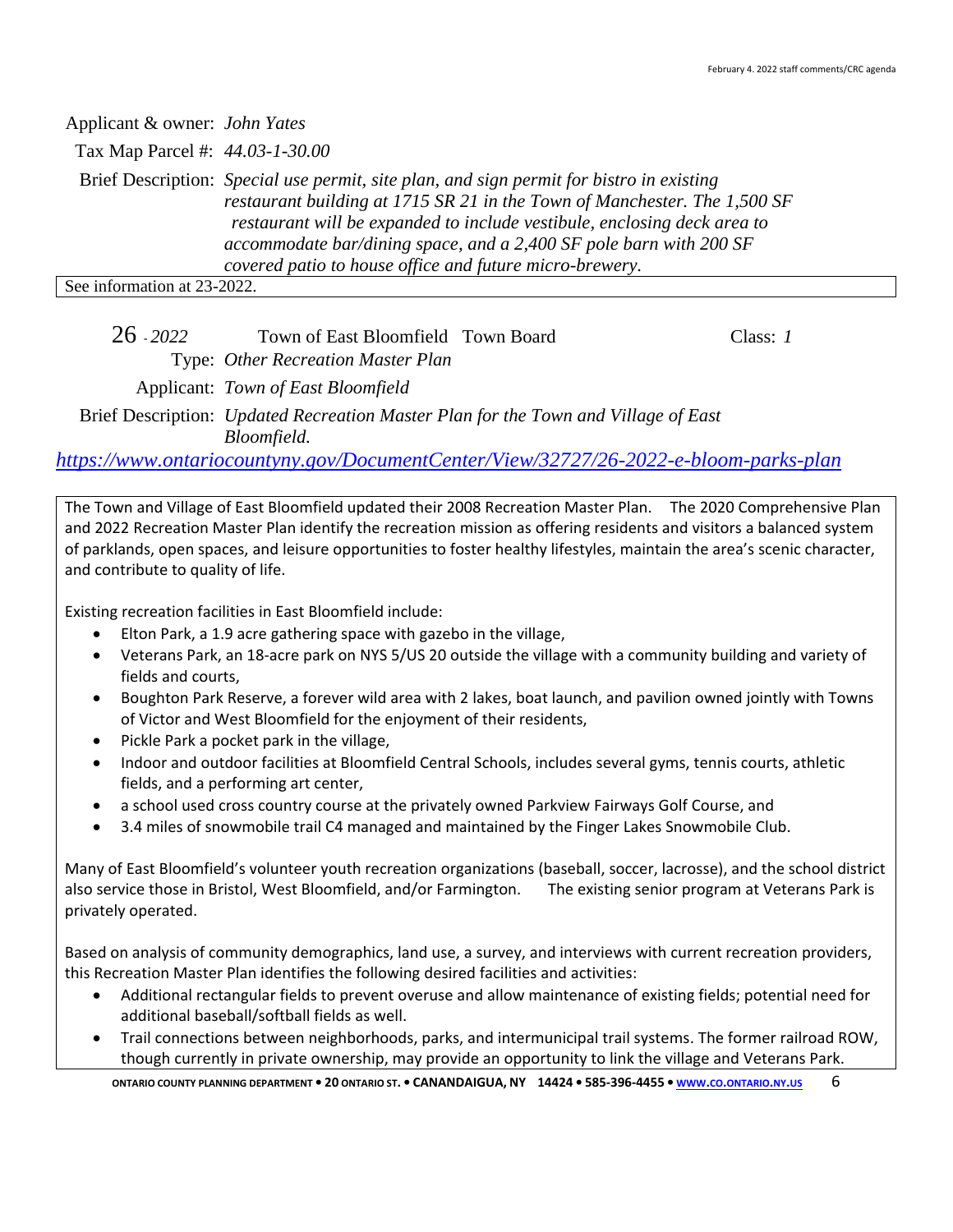| Applicant & owner: John Yates   |                                                                                                                                                                                                                                                                                                                                                                                    |
|---------------------------------|------------------------------------------------------------------------------------------------------------------------------------------------------------------------------------------------------------------------------------------------------------------------------------------------------------------------------------------------------------------------------------|
| Tax Map Parcel #: 44.03-1-30.00 |                                                                                                                                                                                                                                                                                                                                                                                    |
|                                 | Brief Description: Special use permit, site plan, and sign permit for bistro in existing<br>restaurant building at 1715 SR 21 in the Town of Manchester. The 1,500 SF<br>restaurant will be expanded to include vestibule, enclosing deck area to<br>accommodate bar/dining space, and a 2,400 SF pole barn with 200 SF<br>covered patio to house office and future micro-brewery. |
| See information at 23-2022.     |                                                                                                                                                                                                                                                                                                                                                                                    |

26 - *2022* Town of East Bloomfield Town Board Class: *1*

Type: *Other Recreation Master Plan*

Applicant: *Town of East Bloomfield*

Brief Description: *Updated Recreation Master Plan for the Town and Village of East Bloomfield.*

*<https://www.ontariocountyny.gov/DocumentCenter/View/32727/26-2022-e-bloom-parks-plan>*

The Town and Village of East Bloomfield updated their 2008 Recreation Master Plan. The 2020 Comprehensive Plan and 2022 Recreation Master Plan identify the recreation mission as offering residents and visitors a balanced system of parklands, open spaces, and leisure opportunities to foster healthy lifestyles, maintain the area's scenic character, and contribute to quality of life.

Existing recreation facilities in East Bloomfield include:

- Elton Park, a 1.9 acre gathering space with gazebo in the village,
- Veterans Park, an 18-acre park on NYS 5/US 20 outside the village with a community building and variety of fields and courts,
- Boughton Park Reserve, a forever wild area with 2 lakes, boat launch, and pavilion owned jointly with Towns of Victor and West Bloomfield for the enjoyment of their residents,
- Pickle Park a pocket park in the village,
- Indoor and outdoor facilities at Bloomfield Central Schools, includes several gyms, tennis courts, athletic fields, and a performing art center,
- a school used cross country course at the privately owned Parkview Fairways Golf Course, and
- 3.4 miles of snowmobile trail C4 managed and maintained by the Finger Lakes Snowmobile Club.

Many of East Bloomfield's volunteer youth recreation organizations (baseball, soccer, lacrosse), and the school district also service those in Bristol, West Bloomfield, and/or Farmington. The existing senior program at Veterans Park is privately operated.

Based on analysis of community demographics, land use, a survey, and interviews with current recreation providers, this Recreation Master Plan identifies the following desired facilities and activities:

- Additional rectangular fields to prevent overuse and allow maintenance of existing fields; potential need for additional baseball/softball fields as well.
- Trail connections between neighborhoods, parks, and intermunicipal trail systems. The former railroad ROW, though currently in private ownership, may provide an opportunity to link the village and Veterans Park.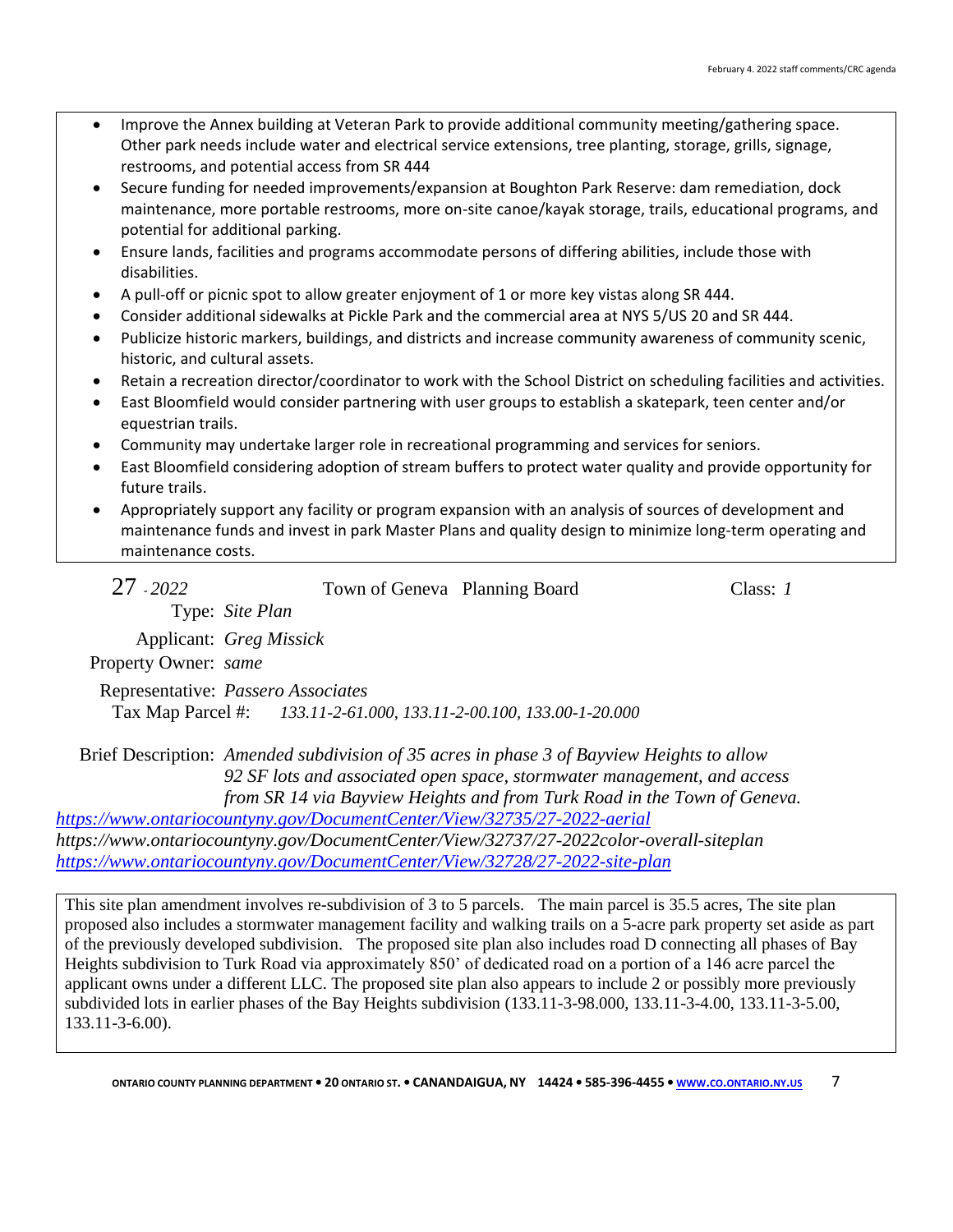- Improve the Annex building at Veteran Park to provide additional community meeting/gathering space. Other park needs include water and electrical service extensions, tree planting, storage, grills, signage, restrooms, and potential access from SR 444
- Secure funding for needed improvements/expansion at Boughton Park Reserve: dam remediation, dock maintenance, more portable restrooms, more on-site canoe/kayak storage, trails, educational programs, and potential for additional parking.
- Ensure lands, facilities and programs accommodate persons of differing abilities, include those with disabilities.
- A pull-off or picnic spot to allow greater enjoyment of 1 or more key vistas along SR 444.
- Consider additional sidewalks at Pickle Park and the commercial area at NYS 5/US 20 and SR 444.
- Publicize historic markers, buildings, and districts and increase community awareness of community scenic, historic, and cultural assets.
- Retain a recreation director/coordinator to work with the School District on scheduling facilities and activities.
- East Bloomfield would consider partnering with user groups to establish a skatepark, teen center and/or equestrian trails.
- Community may undertake larger role in recreational programming and services for seniors.
- East Bloomfield considering adoption of stream buffers to protect water quality and provide opportunity for future trails.
- Appropriately support any facility or program expansion with an analysis of sources of development and maintenance funds and invest in park Master Plans and quality design to minimize long-term operating and maintenance costs.

| $27 - 2022$          |                                                                                                                                                                      | Town of Geneva Planning Board                                                                                                                                                                                                                                                                                                                               | Class: $I$ |
|----------------------|----------------------------------------------------------------------------------------------------------------------------------------------------------------------|-------------------------------------------------------------------------------------------------------------------------------------------------------------------------------------------------------------------------------------------------------------------------------------------------------------------------------------------------------------|------------|
|                      | Type: Site Plan                                                                                                                                                      |                                                                                                                                                                                                                                                                                                                                                             |            |
|                      | Applicant: Greg Missick                                                                                                                                              |                                                                                                                                                                                                                                                                                                                                                             |            |
| Property Owner: same |                                                                                                                                                                      |                                                                                                                                                                                                                                                                                                                                                             |            |
|                      | Representative: Passero Associates                                                                                                                                   |                                                                                                                                                                                                                                                                                                                                                             |            |
|                      | Tax Map Parcel #: 133.11-2-61.000, 133.11-2-00.100, 133.00-1-20.000                                                                                                  |                                                                                                                                                                                                                                                                                                                                                             |            |
|                      | Brief Description: Amended subdivision of 35 acres in phase 3 of Bayview Heights to allow<br>92 SF lots and associated open space, stormwater management, and access | $\mathcal{L}$ $\mathcal{L}$ $\mathcal{L}$ $\mathcal{L}$ $\mathcal{L}$ $\mathcal{L}$ $\mathcal{L}$ $\mathcal{L}$ $\mathcal{L}$ $\mathcal{L}$ $\mathcal{L}$ $\mathcal{L}$ $\mathcal{L}$ $\mathcal{L}$ $\mathcal{L}$ $\mathcal{L}$ $\mathcal{L}$ $\mathcal{L}$ $\mathcal{L}$ $\mathcal{L}$ $\mathcal{L}$ $\mathcal{L}$ $\mathcal{L}$ $\mathcal{L}$ $\mathcal{$ |            |

*from SR 14 via Bayview Heights and from Turk Road in the Town of Geneva. <https://www.ontariocountyny.gov/DocumentCenter/View/32735/27-2022-aerial>*

*https://www.ontariocountyny.gov/DocumentCenter/View/32737/27-2022color-overall-siteplan <https://www.ontariocountyny.gov/DocumentCenter/View/32728/27-2022-site-plan>*

This site plan amendment involves re-subdivision of 3 to 5 parcels. The main parcel is 35.5 acres, The site plan proposed also includes a stormwater management facility and walking trails on a 5-acre park property set aside as part of the previously developed subdivision. The proposed site plan also includes road D connecting all phases of Bay Heights subdivision to Turk Road via approximately 850' of dedicated road on a portion of a 146 acre parcel the applicant owns under a different LLC. The proposed site plan also appears to include 2 or possibly more previously subdivided lots in earlier phases of the Bay Heights subdivision (133.11-3-98.000, 133.11-3-4.00, 133.11-3-5.00, 133.11-3-6.00).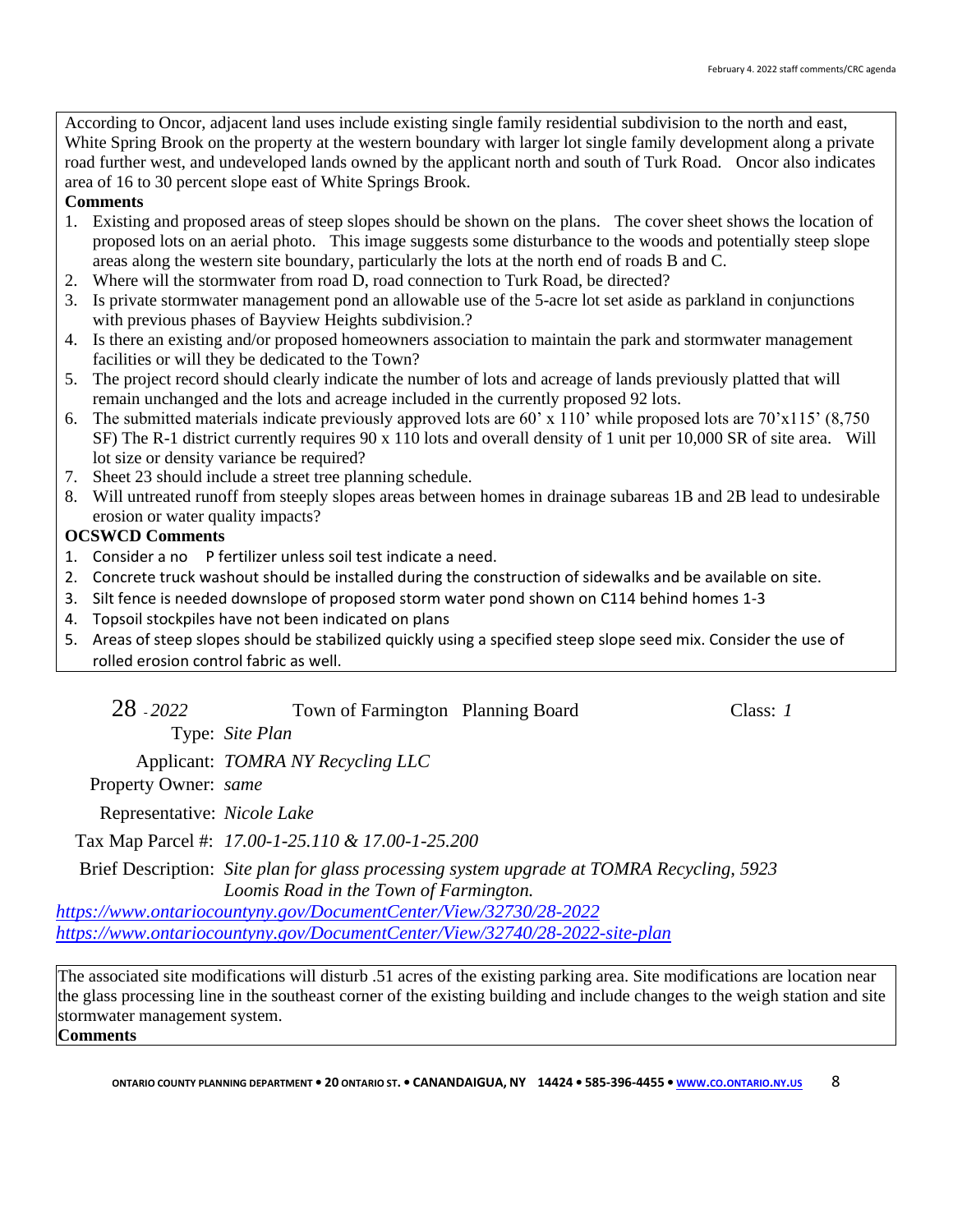According to Oncor, adjacent land uses include existing single family residential subdivision to the north and east, White Spring Brook on the property at the western boundary with larger lot single family development along a private road further west, and undeveloped lands owned by the applicant north and south of Turk Road. Oncor also indicates area of 16 to 30 percent slope east of White Springs Brook.

### **Comments**

- 1. Existing and proposed areas of steep slopes should be shown on the plans. The cover sheet shows the location of proposed lots on an aerial photo. This image suggests some disturbance to the woods and potentially steep slope areas along the western site boundary, particularly the lots at the north end of roads B and C.
- 2. Where will the stormwater from road D, road connection to Turk Road, be directed?
- 3. Is private stormwater management pond an allowable use of the 5-acre lot set aside as parkland in conjunctions with previous phases of Bayview Heights subdivision.?
- 4. Is there an existing and/or proposed homeowners association to maintain the park and stormwater management facilities or will they be dedicated to the Town?
- 5. The project record should clearly indicate the number of lots and acreage of lands previously platted that will remain unchanged and the lots and acreage included in the currently proposed 92 lots.
- 6. The submitted materials indicate previously approved lots are 60' x 110' while proposed lots are 70'x115' (8,750 SF) The R-1 district currently requires 90 x 110 lots and overall density of 1 unit per 10,000 SR of site area. Will lot size or density variance be required?
- 7. Sheet 23 should include a street tree planning schedule.
- 8. Will untreated runoff from steeply slopes areas between homes in drainage subareas 1B and 2B lead to undesirable erosion or water quality impacts?

# **OCSWCD Comments**

- 1. Consider a no P fertilizer unless soil test indicate a need.
- 2. Concrete truck washout should be installed during the construction of sidewalks and be available on site.
- 3. Silt fence is needed downslope of proposed storm water pond shown on C114 behind homes 1-3
- 4. Topsoil stockpiles have not been indicated on plans
- 5. Areas of steep slopes should be stabilized quickly using a specified steep slope seed mix. Consider the use of rolled erosion control fabric as well.

| 28 - 2022 |  | Town of Farmington Planning Board | Class: $1$ |
|-----------|--|-----------------------------------|------------|
|-----------|--|-----------------------------------|------------|

Type: *Site Plan*

Applicant: *TOMRA NY Recycling LLC*

Property Owner: *same*

Representative: *Nicole Lake*

Tax Map Parcel #: *17.00-1-25.110 & 17.00-1-25.200*

Brief Description: *Site plan for glass processing system upgrade at TOMRA Recycling, 5923 Loomis Road in the Town of Farmington.*

*<https://www.ontariocountyny.gov/DocumentCenter/View/32730/28-2022> <https://www.ontariocountyny.gov/DocumentCenter/View/32740/28-2022-site-plan>*

The associated site modifications will disturb .51 acres of the existing parking area. Site modifications are location near the glass processing line in the southeast corner of the existing building and include changes to the weigh station and site stormwater management system.

**Comments**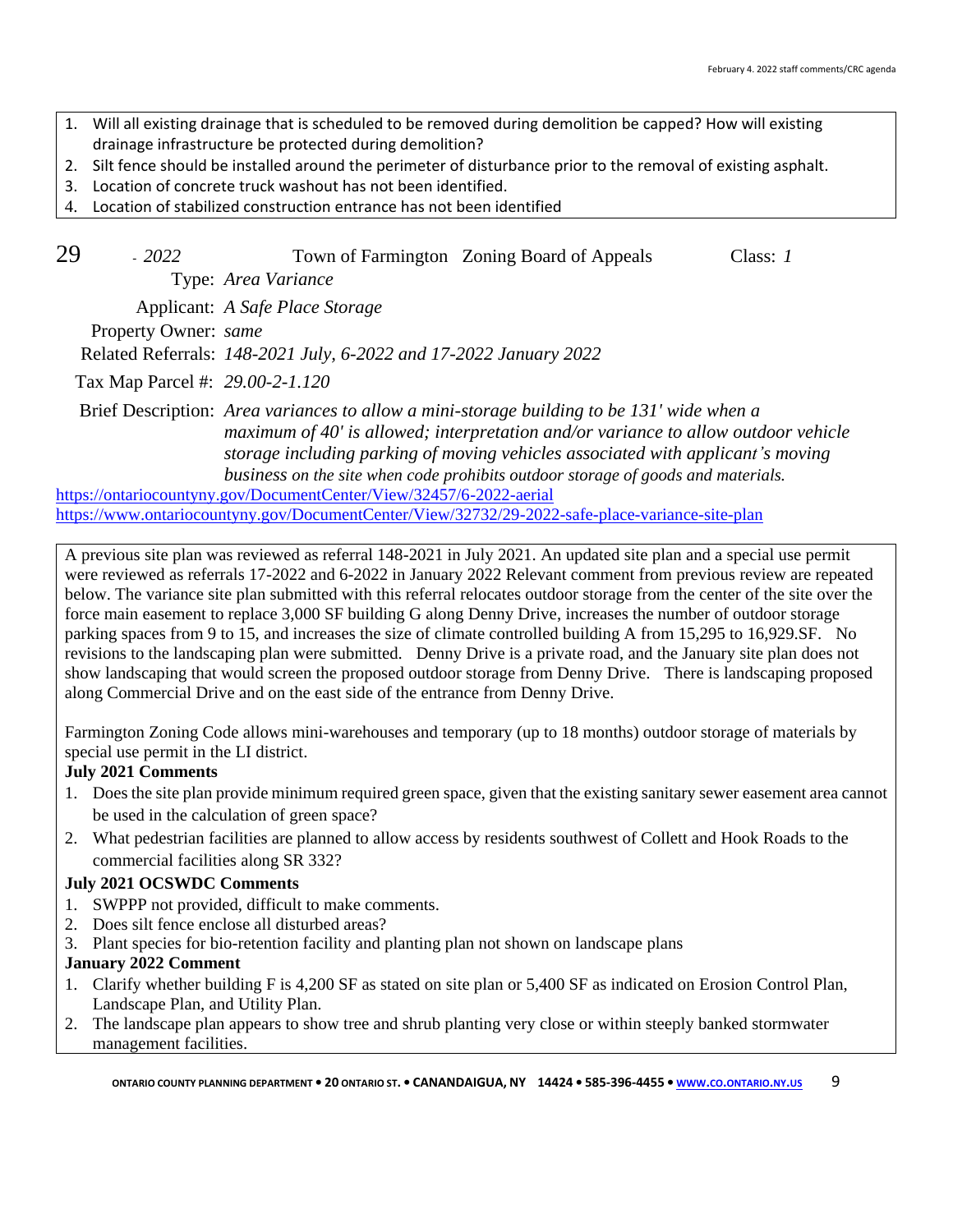- 1. Will all existing drainage that is scheduled to be removed during demolition be capped? How will existing drainage infrastructure be protected during demolition?
- 2. Silt fence should be installed around the perimeter of disturbance prior to the removal of existing asphalt.
- 3. Location of concrete truck washout has not been identified.
- 4. Location of stabilized construction entrance has not been identified
- 29 *2022* Town of Farmington Zoning Board of Appeals Class: *1*

Type: *Area Variance*

Applicant: *A Safe Place Storage*

Property Owner: *same*

Related Referrals: *148-2021 July, 6-2022 and 17-2022 January 2022*

Tax Map Parcel #: *29.00-2-1.120*

Brief Description: *Area variances to allow a mini-storage building to be 131' wide when a maximum of 40' is allowed; interpretation and/or variance to allow outdoor vehicle storage including parking of moving vehicles associated with applicant's moving business on the site when code prohibits outdoor storage of goods and materials.*

<https://ontariocountyny.gov/DocumentCenter/View/32457/6-2022-aerial> <https://www.ontariocountyny.gov/DocumentCenter/View/32732/29-2022-safe-place-variance-site-plan>

A previous site plan was reviewed as referral 148-2021 in July 2021. An updated site plan and a special use permit were reviewed as referrals 17-2022 and 6-2022 in January 2022 Relevant comment from previous review are repeated below. The variance site plan submitted with this referral relocates outdoor storage from the center of the site over the force main easement to replace 3,000 SF building G along Denny Drive, increases the number of outdoor storage parking spaces from 9 to 15, and increases the size of climate controlled building A from 15,295 to 16,929.SF. No revisions to the landscaping plan were submitted. Denny Drive is a private road, and the January site plan does not show landscaping that would screen the proposed outdoor storage from Denny Drive. There is landscaping proposed along Commercial Drive and on the east side of the entrance from Denny Drive.

Farmington Zoning Code allows mini-warehouses and temporary (up to 18 months) outdoor storage of materials by special use permit in the LI district.

# **July 2021 Comments**

- 1. Does the site plan provide minimum required green space, given that the existing sanitary sewer easement area cannot be used in the calculation of green space?
- 2. What pedestrian facilities are planned to allow access by residents southwest of Collett and Hook Roads to the commercial facilities along SR 332?

# **July 2021 OCSWDC Comments**

- 1. SWPPP not provided, difficult to make comments.
- 2. Does silt fence enclose all disturbed areas?
- 3. Plant species for bio-retention facility and planting plan not shown on landscape plans

# **January 2022 Comment**

- 1. Clarify whether building F is 4,200 SF as stated on site plan or 5,400 SF as indicated on Erosion Control Plan, Landscape Plan, and Utility Plan.
- 2. The landscape plan appears to show tree and shrub planting very close or within steeply banked stormwater management facilities.